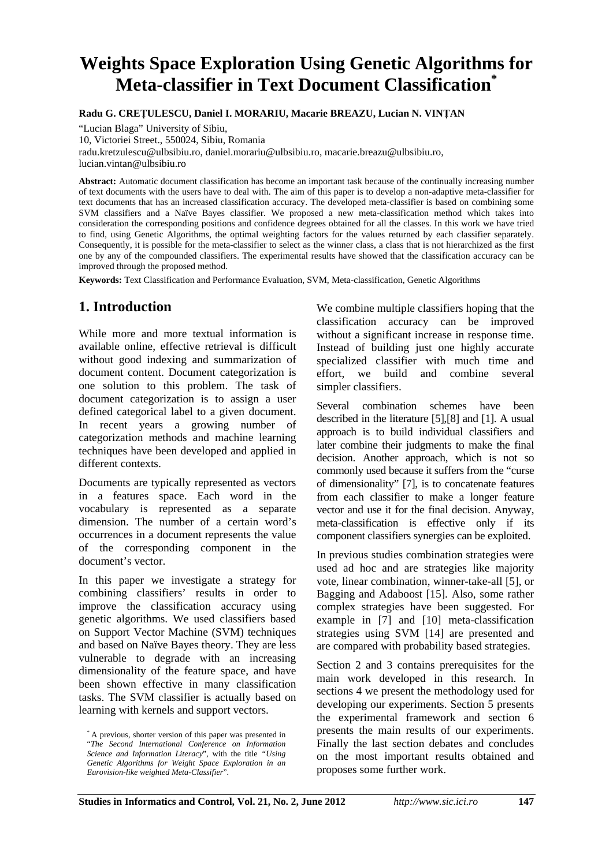# **Weights Space Exploration Using Genetic Algorithms for Meta-classifier in Text Document Classification\***

**Radu G. CREŢULESCU, Daniel I. MORARIU, Macarie BREAZU, Lucian N. VINŢAN** 

"Lucian Blaga" University of Sibiu,

10, Victoriei Street., 550024, Sibiu, Romania

radu.kretzulescu@ulbsibiu.ro, daniel.morariu@ulbsibiu.ro, macarie.breazu@ulbsibiu.ro,

lucian.vintan@ulbsibiu.ro

**Abstract:** Automatic document classification has become an important task because of the continually increasing number of text documents with the users have to deal with. The aim of this paper is to develop a non-adaptive meta-classifier for text documents that has an increased classification accuracy. The developed meta-classifier is based on combining some SVM classifiers and a Naïve Bayes classifier. We proposed a new meta-classification method which takes into consideration the corresponding positions and confidence degrees obtained for all the classes. In this work we have tried to find, using Genetic Algorithms, the optimal weighting factors for the values returned by each classifier separately. Consequently, it is possible for the meta-classifier to select as the winner class, a class that is not hierarchized as the first one by any of the compounded classifiers. The experimental results have showed that the classification accuracy can be improved through the proposed method.

**Keywords:** Text Classification and Performance Evaluation, SVM, Meta-classification, Genetic Algorithms

## **1. Introduction**

While more and more textual information is available online, effective retrieval is difficult without good indexing and summarization of document content. Document categorization is one solution to this problem. The task of document categorization is to assign a user defined categorical label to a given document. In recent years a growing number of categorization methods and machine learning techniques have been developed and applied in different contexts.

Documents are typically represented as vectors in a features space. Each word in the vocabulary is represented as a separate dimension. The number of a certain word's occurrences in a document represents the value of the corresponding component in the document's vector.

In this paper we investigate a strategy for combining classifiers' results in order to improve the classification accuracy using genetic algorithms. We used classifiers based on Support Vector Machine (SVM) techniques and based on Naïve Bayes theory. They are less vulnerable to degrade with an increasing dimensionality of the feature space, and have been shown effective in many classification tasks. The SVM classifier is actually based on learning with kernels and support vectors.

We combine multiple classifiers hoping that the classification accuracy can be improved without a significant increase in response time. Instead of building just one highly accurate specialized classifier with much time and effort, we build and combine several simpler classifiers.

Several combination schemes have been described in the literature [5],[8] and [1]. A usual approach is to build individual classifiers and later combine their judgments to make the final decision. Another approach, which is not so commonly used because it suffers from the "curse of dimensionality" [7], is to concatenate features from each classifier to make a longer feature vector and use it for the final decision. Anyway, meta-classification is effective only if its component classifiers synergies can be exploited.

In previous studies combination strategies were used ad hoc and are strategies like majority vote, linear combination, winner-take-all [5], or Bagging and Adaboost [15]. Also, some rather complex strategies have been suggested. For example in [7] and [10] meta-classification strategies using SVM [14] are presented and are compared with probability based strategies.

Section 2 and 3 contains prerequisites for the main work developed in this research. In sections 4 we present the methodology used for developing our experiments. Section 5 presents the experimental framework and section 6 presents the main results of our experiments. Finally the last section debates and concludes on the most important results obtained and proposes some further work.

<sup>\*</sup> A previous, shorter version of this paper was presented in "*The Second International Conference on Information Science and Information Literacy*", with the title *"Using Genetic Algorithms for Weight Space Exploration in an Eurovision-like weighted Meta-Classifier*".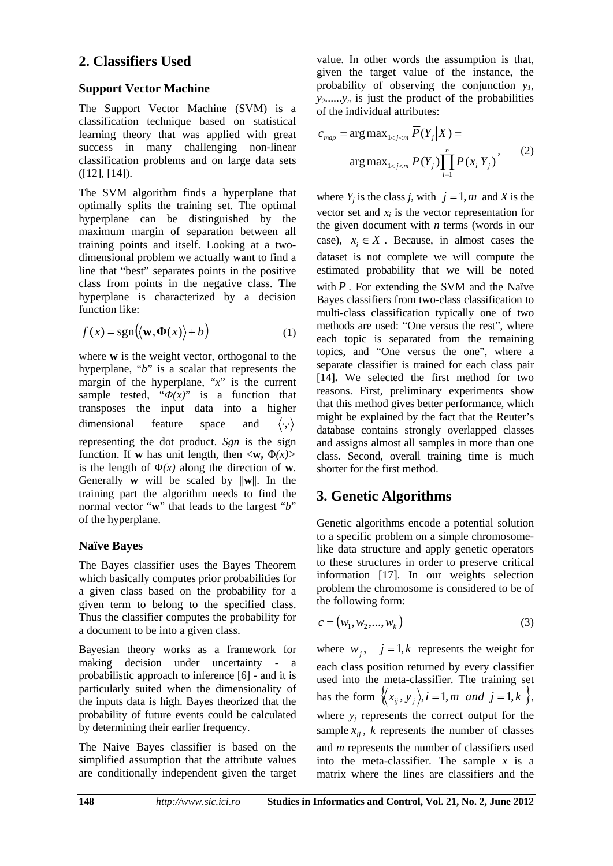## **2. Classifiers Used**

## **Support Vector Machine**

The Support Vector Machine (SVM) is a classification technique based on statistical learning theory that was applied with great success in many challenging non-linear classification problems and on large data sets  $([12], [14]).$ 

The SVM algorithm finds a hyperplane that optimally splits the training set. The optimal hyperplane can be distinguished by the maximum margin of separation between all training points and itself. Looking at a twodimensional problem we actually want to find a line that "best" separates points in the positive class from points in the negative class. The hyperplane is characterized by a decision function like:

$$
f(x) = sgn(\langle \mathbf{w}, \mathbf{\Phi}(x) \rangle + b)
$$
 (1)

where **w** is the weight vector, orthogonal to the hyperplane, "*b*" is a scalar that represents the margin of the hyperplane, "*x*" is the current sample tested, " $\Phi(x)$ " is a function that transposes the input data into a higher dimensional feature space and  $\langle \cdot, \cdot \rangle$ representing the dot product. *Sgn* is the sign function. If **w** has unit length, then  $\langle \mathbf{w}, \Phi(x) \rangle$ is the length of  $\Phi(x)$  along the direction of **w**. Generally **w** will be scaled by ||**w**||. In the training part the algorithm needs to find the normal vector "**w**" that leads to the largest "*b*" of the hyperplane.

## **Naïve Bayes**

The Bayes classifier uses the Bayes Theorem which basically computes prior probabilities for a given class based on the probability for a given term to belong to the specified class. Thus the classifier computes the probability for a document to be into a given class.

Bayesian theory works as a framework for making decision under uncertainty - a probabilistic approach to inference [6] - and it is particularly suited when the dimensionality of the inputs data is high. Bayes theorized that the probability of future events could be calculated by determining their earlier frequency.

The Naive Bayes classifier is based on the simplified assumption that the attribute values are conditionally independent given the target value. In other words the assumption is that, given the target value of the instance, the probability of observing the conjunction  $y_l$ ,  $y_2$ ...... $y_n$  is just the product of the probabilities of the individual attributes:

$$
c_{map} = \arg \max_{1 < j < m} \overline{P}(Y_j | X) =
$$
\n
$$
\arg \max_{1 < j < m} \overline{P}(Y_j) \prod_{i=1}^n \overline{P}(x_i | Y_j) \tag{2}
$$

where  $Y_i$  is the class *j*, with  $j = \overline{1, m}$  and *X* is the vector set and  $x_i$  is the vector representation for the given document with *n* terms (words in our case),  $x_i \in X$ . Because, in almost cases the dataset is not complete we will compute the estimated probability that we will be noted with  $P$ . For extending the SVM and the Naïve Bayes classifiers from two-class classification to multi-class classification typically one of two methods are used: "One versus the rest", where each topic is separated from the remaining topics, and "One versus the one", where a separate classifier is trained for each class pair [14**].** We selected the first method for two reasons. First, preliminary experiments show that this method gives better performance, which might be explained by the fact that the Reuter's database contains strongly overlapped classes and assigns almost all samples in more than one class. Second, overall training time is much shorter for the first method.

## **3. Genetic Algorithms**

Genetic algorithms encode a potential solution to a specific problem on a simple chromosomelike data structure and apply genetic operators to these structures in order to preserve critical information [17]. In our weights selection problem the chromosome is considered to be of the following form:

$$
c = (w_1, w_2, ..., w_k)
$$
 (3)

where  $w_i$ ,  $j = \overline{1,k}$  represents the weight for each class position returned by every classifier used into the meta-classifier. The training set has the form  $\langle x_{ij}, y_j \rangle$ ,  $i = \overline{1,m}$  and  $j = \overline{1,k}$ , where  $y_i$  represents the correct output for the sample  $x_{ii}$ , *k* represents the number of classes and *m* represents the number of classifiers used into the meta-classifier. The sample  $x$  is a matrix where the lines are classifiers and the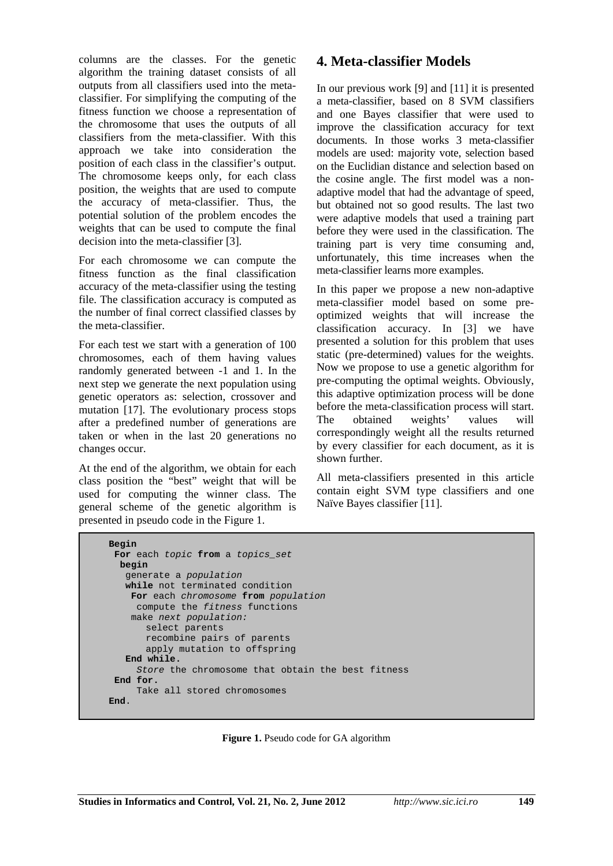columns are the classes. For the genetic algorithm the training dataset consists of all outputs from all classifiers used into the metaclassifier. For simplifying the computing of the fitness function we choose a representation of the chromosome that uses the outputs of all classifiers from the meta-classifier. With this approach we take into consideration the position of each class in the classifier's output. The chromosome keeps only, for each class position, the weights that are used to compute the accuracy of meta-classifier. Thus, the potential solution of the problem encodes the weights that can be used to compute the final decision into the meta-classifier [3].

For each chromosome we can compute the fitness function as the final classification accuracy of the meta-classifier using the testing file. The classification accuracy is computed as the number of final correct classified classes by the meta-classifier.

For each test we start with a generation of 100 chromosomes, each of them having values randomly generated between -1 and 1. In the next step we generate the next population using genetic operators as: selection, crossover and mutation [17]. The evolutionary process stops after a predefined number of generations are taken or when in the last 20 generations no changes occur.

At the end of the algorithm, we obtain for each class position the "best" weight that will be used for computing the winner class. The general scheme of the genetic algorithm is presented in pseudo code in the Figure 1.

## **4. Meta-classifier Models**

In our previous work [9] and [11] it is presented a meta-classifier, based on 8 SVM classifiers and one Bayes classifier that were used to improve the classification accuracy for text documents. In those works 3 meta-classifier models are used: majority vote, selection based on the Euclidian distance and selection based on the cosine angle. The first model was a nonadaptive model that had the advantage of speed, but obtained not so good results. The last two were adaptive models that used a training part before they were used in the classification. The training part is very time consuming and, unfortunately, this time increases when the meta-classifier learns more examples.

In this paper we propose a new non-adaptive meta-classifier model based on some preoptimized weights that will increase the classification accuracy. In [3] we have presented a solution for this problem that uses static (pre-determined) values for the weights. Now we propose to use a genetic algorithm for pre-computing the optimal weights. Obviously, this adaptive optimization process will be done before the meta-classification process will start. The obtained weights' values will correspondingly weight all the results returned by every classifier for each document, as it is shown further.

All meta-classifiers presented in this article contain eight SVM type classifiers and one Naïve Bayes classifier [11].

```
Begin
  For each topic from a topics_set 
  begin
    generate a population
    while not terminated condition 
     For each chromosome from population
     compute the fitness functions 
     make next population:
       select parents 
       recombine pairs of parents 
       apply mutation to offspring 
    End while. 
     Store the chromosome that obtain the best fitness 
  End for. 
     Take all stored chromosomes 
End.
```
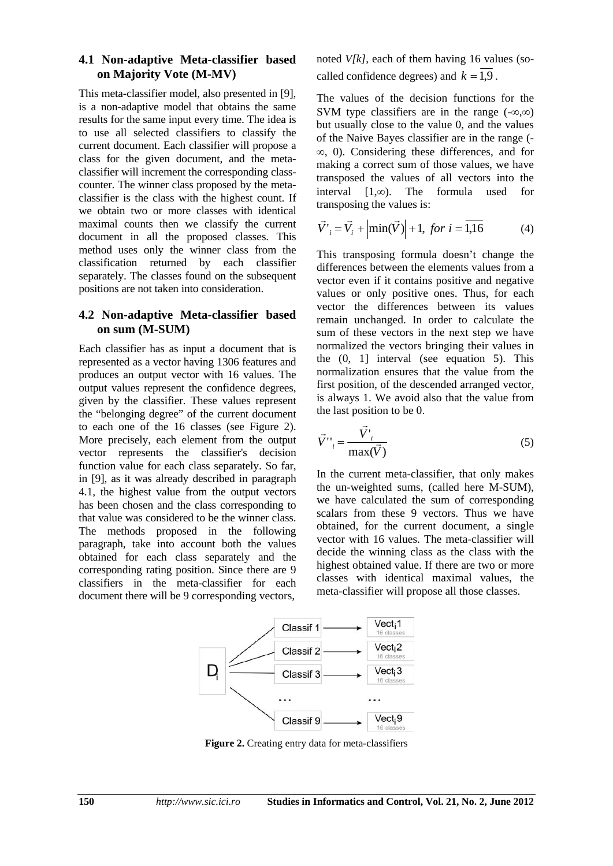#### **4.1 Non-adaptive Meta-classifier based on Majority Vote (M-MV)**

This meta-classifier model, also presented in [9], is a non-adaptive model that obtains the same results for the same input every time. The idea is to use all selected classifiers to classify the current document. Each classifier will propose a class for the given document, and the metaclassifier will increment the corresponding classcounter. The winner class proposed by the metaclassifier is the class with the highest count. If we obtain two or more classes with identical maximal counts then we classify the current document in all the proposed classes. This method uses only the winner class from the classification returned by each classifier separately. The classes found on the subsequent positions are not taken into consideration.

#### **4.2 Non-adaptive Meta-classifier based on sum (M-SUM)**

Each classifier has as input a document that is represented as a vector having 1306 features and produces an output vector with 16 values. The output values represent the confidence degrees, given by the classifier. These values represent the "belonging degree" of the current document to each one of the 16 classes (see Figure 2). More precisely, each element from the output vector represents the classifier's decision function value for each class separately. So far, in [9], as it was already described in paragraph 4.1, the highest value from the output vectors has been chosen and the class corresponding to that value was considered to be the winner class. The methods proposed in the following paragraph, take into account both the values obtained for each class separately and the corresponding rating position. Since there are 9 classifiers in the meta-classifier for each document there will be 9 corresponding vectors,

noted *V[k]*, each of them having 16 values (socalled confidence degrees) and  $k = 1.9$ .

The values of the decision functions for the SVM type classifiers are in the range  $(-\infty,\infty)$ but usually close to the value 0, and the values of the Naive Bayes classifier are in the range (-  $\infty$ , 0). Considering these differences, and for making a correct sum of those values, we have transposed the values of all vectors into the interval  $[1,\infty)$ . The formula used for transposing the values is:

$$
\vec{V'}_i = \vec{V}_i + \left| \min(\vec{V}) \right| + 1, \text{ for } i = \overline{1,16}
$$
 (4)

This transposing formula doesn't change the differences between the elements values from a vector even if it contains positive and negative values or only positive ones. Thus, for each vector the differences between its values remain unchanged. In order to calculate the sum of these vectors in the next step we have normalized the vectors bringing their values in the  $(0, 1)$  interval (see equation 5). This normalization ensures that the value from the first position, of the descended arranged vector, is always 1. We avoid also that the value from the last position to be 0.

$$
\vec{V}^{\prime\prime}_{i} = \frac{\vec{V}^{\prime}_{i}}{\max(\vec{V})}
$$
\n(5)

In the current meta-classifier, that only makes the un-weighted sums, (called here M-SUM), we have calculated the sum of corresponding scalars from these 9 vectors. Thus we have obtained, for the current document, a single vector with 16 values. The meta-classifier will decide the winning class as the class with the highest obtained value. If there are two or more classes with identical maximal values, the meta-classifier will propose all those classes.



**Figure 2.** Creating entry data for meta-classifiers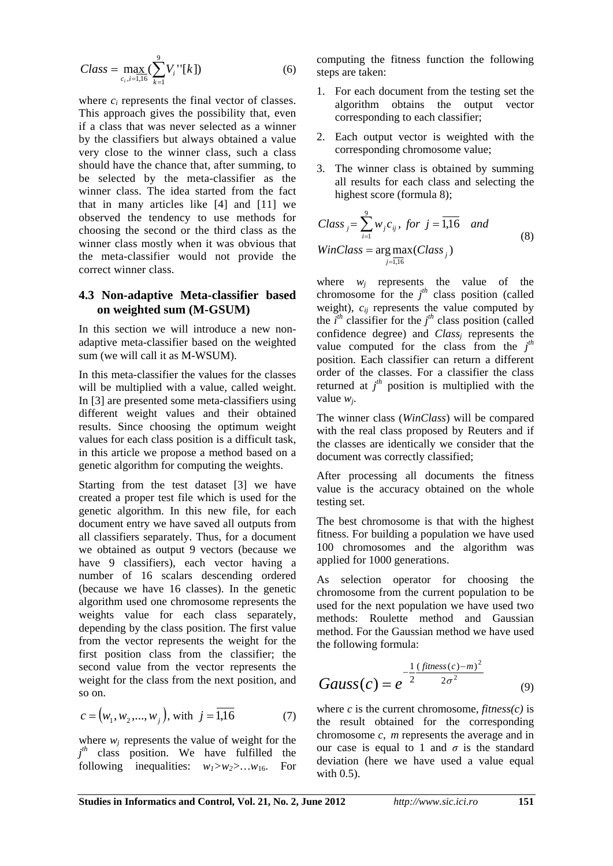$$
Class = \max_{c_i, i=1, 16} \left( \sum_{k=1}^{9} V_i \, "[k] \right) \tag{6}
$$

where  $c_i$  represents the final vector of classes. This approach gives the possibility that, even if a class that was never selected as a winner by the classifiers but always obtained a value very close to the winner class, such a class should have the chance that, after summing, to be selected by the meta-classifier as the winner class. The idea started from the fact that in many articles like [4] and [11] we observed the tendency to use methods for choosing the second or the third class as the winner class mostly when it was obvious that the meta-classifier would not provide the correct winner class.

#### **4.3 Non-adaptive Meta-classifier based on weighted sum (M-GSUM)**

In this section we will introduce a new nonadaptive meta-classifier based on the weighted sum (we will call it as M-WSUM).

In this meta-classifier the values for the classes will be multiplied with a value, called weight. In [3] are presented some meta-classifiers using different weight values and their obtained results. Since choosing the optimum weight values for each class position is a difficult task, in this article we propose a method based on a genetic algorithm for computing the weights.

Starting from the test dataset [3] we have created a proper test file which is used for the genetic algorithm. In this new file, for each document entry we have saved all outputs from all classifiers separately. Thus, for a document we obtained as output 9 vectors (because we have 9 classifiers), each vector having a number of 16 scalars descending ordered (because we have 16 classes). In the genetic algorithm used one chromosome represents the weights value for each class separately, depending by the class position. The first value from the vector represents the weight for the first position class from the classifier; the second value from the vector represents the weight for the class from the next position, and so on.

$$
c = (w_1, w_2, ..., w_j), \text{ with } j = \overline{1,16} \tag{7}
$$

where  $w_i$  represents the value of weight for the *j th* class position. We have fulfilled the following inequalities:  $w_1 > w_2 > ... w_{16}$ . For computing the fitness function the following steps are taken:

- 1. For each document from the testing set the algorithm obtains the output vector corresponding to each classifier;
- 2. Each output vector is weighted with the corresponding chromosome value;
- 3. The winner class is obtained by summing all results for each class and selecting the highest score (formula 8);

Class<sub>j</sub> = 
$$
\sum_{i=1}^{9} w_j c_{ij}
$$
, for  $j = \overline{1,16}$  and  
WinClass = arg max(Class<sub>j</sub>) (8)

where  $w_j$  represents the value of the chromosome for the  $j<sup>th</sup>$  class position (called weight), *cij* represents the value computed by the  $i^{th}$  classifier for the  $j^{th}$  class position (called confidence degree) and *Class<sub>i</sub>* represents the value computed for the class from the  $j<sup>th</sup>$ position. Each classifier can return a different order of the classes. For a classifier the class returned at  $j<sup>th</sup>$  position is multiplied with the value *wj*.

The winner class (*WinClass*) will be compared with the real class proposed by Reuters and if the classes are identically we consider that the document was correctly classified;

After processing all documents the fitness value is the accuracy obtained on the whole testing set.

The best chromosome is that with the highest fitness. For building a population we have used 100 chromosomes and the algorithm was applied for 1000 generations.

As selection operator for choosing the chromosome from the current population to be used for the next population we have used two methods: Roulette method and Gaussian method. For the Gaussian method we have used the following formula:

Gauss(c) = 
$$
e^{-\frac{1}{2}(\text{fitness}(c) - m)^2/2}
$$
 (9)

where  $c$  is the current chromosome, *fitness(c)* is the result obtained for the corresponding chromosome *c*, *m* represents the average and in our case is equal to 1 and  $\sigma$  is the standard deviation (here we have used a value equal with  $0.5$ ).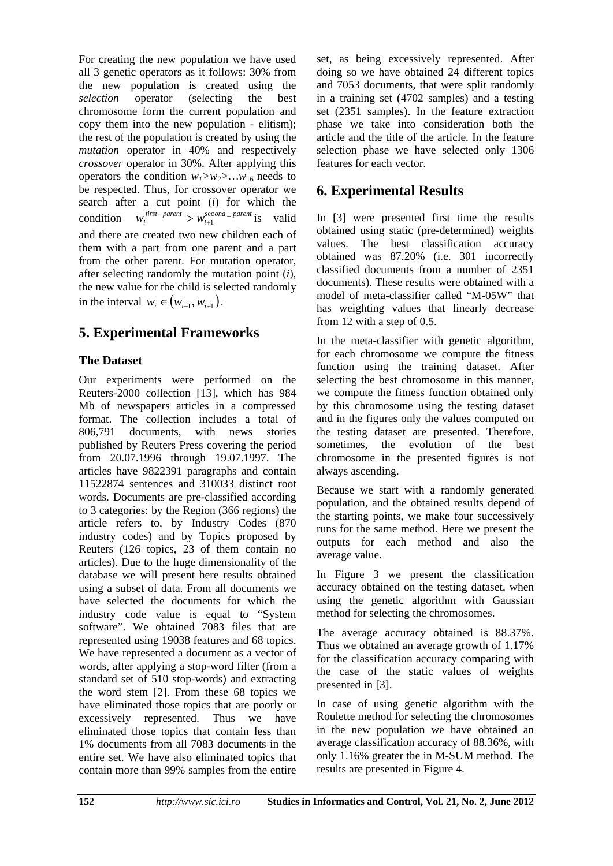For creating the new population we have used all 3 genetic operators as it follows: 30% from the new population is created using the *selection* operator (selecting the best chromosome form the current population and copy them into the new population - elitism); the rest of the population is created by using the *mutation* operator in 40% and respectively *crossover* operator in 30%. After applying this operators the condition  $w_1>w_2>w_3>w_1$  needs to be respected. Thus, for crossover operator we search after a cut point (*i*) for which the condition  $w_i^{first-parent} > w_{i+1}^{second-parent}$  is valid and there are created two new children each of them with a part from one parent and a part from the other parent. For mutation operator, after selecting randomly the mutation point (*i*), the new value for the child is selected randomly in the interval  $w_i \in (w_{i-1}, w_{i+1})$ .

## **5. Experimental Frameworks**

## **The Dataset**

Our experiments were performed on the Reuters-2000 collection [13], which has 984 Mb of newspapers articles in a compressed format. The collection includes a total of 806,791 documents, with news stories published by Reuters Press covering the period from 20.07.1996 through 19.07.1997. The articles have 9822391 paragraphs and contain 11522874 sentences and 310033 distinct root words. Documents are pre-classified according to 3 categories: by the Region (366 regions) the article refers to, by Industry Codes (870 industry codes) and by Topics proposed by Reuters (126 topics, 23 of them contain no articles). Due to the huge dimensionality of the database we will present here results obtained using a subset of data. From all documents we have selected the documents for which the industry code value is equal to "System software". We obtained 7083 files that are represented using 19038 features and 68 topics. We have represented a document as a vector of words, after applying a stop-word filter (from a standard set of 510 stop-words) and extracting the word stem [2]. From these 68 topics we have eliminated those topics that are poorly or excessively represented. Thus we have eliminated those topics that contain less than 1% documents from all 7083 documents in the entire set. We have also eliminated topics that contain more than 99% samples from the entire

set, as being excessively represented. After doing so we have obtained 24 different topics and 7053 documents, that were split randomly in a training set (4702 samples) and a testing set (2351 samples). In the feature extraction phase we take into consideration both the article and the title of the article. In the feature selection phase we have selected only 1306 features for each vector.

## **6. Experimental Results**

In [3] were presented first time the results obtained using static (pre-determined) weights values. The best classification accuracy obtained was 87.20% (i.e. 301 incorrectly classified documents from a number of 2351 documents). These results were obtained with a model of meta-classifier called "M-05W" that has weighting values that linearly decrease from 12 with a step of 0.5.

In the meta-classifier with genetic algorithm, for each chromosome we compute the fitness function using the training dataset. After selecting the best chromosome in this manner, we compute the fitness function obtained only by this chromosome using the testing dataset and in the figures only the values computed on the testing dataset are presented. Therefore, sometimes, the evolution of the best chromosome in the presented figures is not always ascending.

Because we start with a randomly generated population, and the obtained results depend of the starting points, we make four successively runs for the same method. Here we present the outputs for each method and also the average value.

In Figure 3 we present the classification accuracy obtained on the testing dataset, when using the genetic algorithm with Gaussian method for selecting the chromosomes.

The average accuracy obtained is 88.37%. Thus we obtained an average growth of 1.17% for the classification accuracy comparing with the case of the static values of weights presented in [3].

In case of using genetic algorithm with the Roulette method for selecting the chromosomes in the new population we have obtained an average classification accuracy of 88.36%, with only 1.16% greater the in M-SUM method. The results are presented in Figure 4.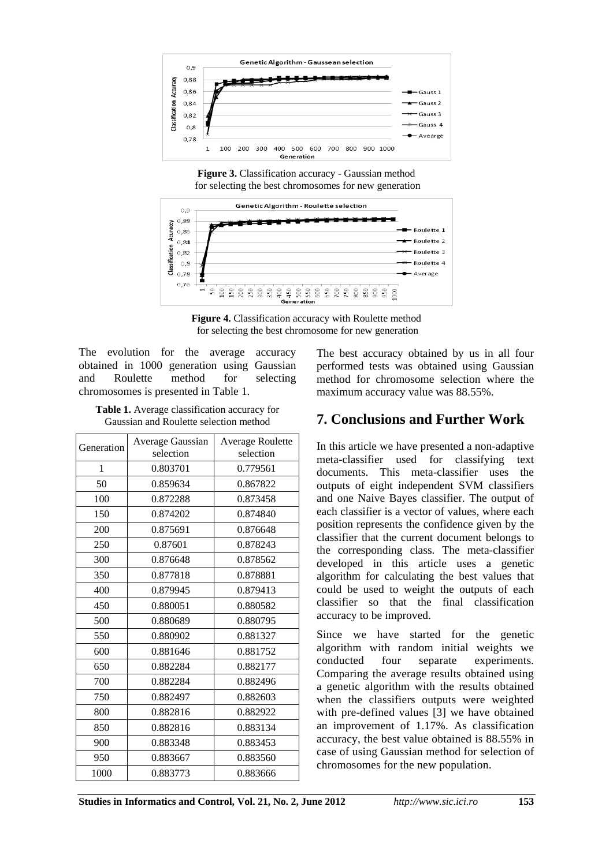

**Figure 3.** Classification accuracy - Gaussian method for selecting the best chromosomes for new generation



**Figure 4.** Classification accuracy with Roulette method for selecting the best chromosome for new generation

The evolution for the average accuracy obtained in 1000 generation using Gaussian and Roulette method for selecting chromosomes is presented in Table 1.

**Table 1.** Average classification accuracy for Gaussian and Roulette selection method

|            | Average Gaussian | <b>Average Roulette</b> |
|------------|------------------|-------------------------|
| Generation | selection        | selection               |
| 1          | 0.803701         | 0.779561                |
| 50         | 0.859634         | 0.867822                |
| 100        | 0.872288         | 0.873458                |
| 150        | 0.874202         | 0.874840                |
| 200        | 0.875691         | 0.876648                |
| 250        | 0.87601          | 0.878243                |
| 300        | 0.876648         | 0.878562                |
| 350        | 0.877818         | 0.878881                |
| 400        | 0.879945         | 0.879413                |
| 450        | 0.880051         | 0.880582                |
| 500        | 0.880689         | 0.880795                |
| 550        | 0.880902         | 0.881327                |
| 600        | 0.881646         | 0.881752                |
| 650        | 0.882284         | 0.882177                |
| 700        | 0.882284         | 0.882496                |
| 750        | 0.882497         | 0.882603                |
| 800        | 0.882816         | 0.882922                |
| 850        | 0.882816         | 0.883134                |
| 900        | 0.883348         | 0.883453                |
| 950        | 0.883667         | 0.883560                |
| 1000       | 0.883773         | 0.883666                |

The best accuracy obtained by us in all four performed tests was obtained using Gaussian method for chromosome selection where the maximum accuracy value was 88.55%.

## **7. Conclusions and Further Work**

In this article we have presented a non-adaptive meta-classifier used for classifying text documents. This meta-classifier uses the outputs of eight independent SVM classifiers and one Naive Bayes classifier. The output of each classifier is a vector of values, where each position represents the confidence given by the classifier that the current document belongs to the corresponding class. The meta-classifier developed in this article uses a genetic algorithm for calculating the best values that could be used to weight the outputs of each classifier so that the final classification accuracy to be improved.

Since we have started for the genetic algorithm with random initial weights we conducted four separate experiments. Comparing the average results obtained using a genetic algorithm with the results obtained when the classifiers outputs were weighted with pre-defined values [3] we have obtained an improvement of 1.17%. As classification accuracy, the best value obtained is 88.55% in case of using Gaussian method for selection of chromosomes for the new population.